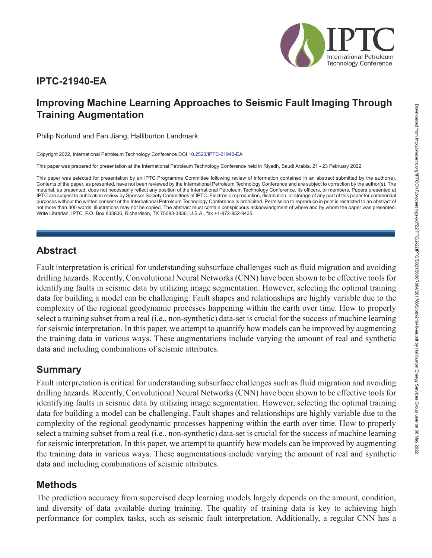

### **IPTC-21940-EA**

# **Improving Machine Learning Approaches to Seismic Fault Imaging Through Training Augmentation**

Philip Norlund and Fan Jiang, Halliburton Landmark

Copyright 2022, International Petroleum Technology Conference DOI [10.2523/IPTC-21940-EA](https://dx.doi.org/10.2523/IPTC-21940-EA)

This paper was prepared for presentation at the International Petroleum Technology Conference held in Riyadh, Saudi Arabia, 21 - 23 February 2022.

This paper was selected for presentation by an IPTC Programme Committee following review of information contained in an abstract submitted by the author(s). Contents of the paper, as presented, have not been reviewed by the International Petroleum Technology Conference and are subject to correction by the author(s). The material, as presented, does not necessarily reflect any position of the International Petroleum Technology Conference, its officers, or members. Papers presented at IPTC are subject to publication review by Sponsor Society Committees of IPTC. Electronic reproduction, distribution, or storage of any part of this paper for commercial purposes without the written consent of the International Petroleum Technology Conference is prohibited. Permission to reproduce in print is restricted to an abstract of not more than 300 words; illustrations may not be copied. The abstract must contain conspicuous acknowledgment of where and by whom the paper was presented. Write Librarian, IPTC, P.O. Box 833836, Richardson, TX 75083-3836, U.S.A., fax +1-972-952-9435.

#### **Abstract**

Fault interpretation is critical for understanding subsurface challenges such as fluid migration and avoiding drilling hazards. Recently, Convolutional Neural Networks (CNN) have been shown to be effective tools for identifying faults in seismic data by utilizing image segmentation. However, selecting the optimal training data for building a model can be challenging. Fault shapes and relationships are highly variable due to the complexity of the regional geodynamic processes happening within the earth over time. How to properly select a training subset from a real (i.e., non-synthetic) data-set is crucial for the success of machine learning for seismic interpretation. In this paper, we attempt to quantify how models can be improved by augmenting the training data in various ways. These augmentations include varying the amount of real and synthetic data and including combinations of seismic attributes.

### **Summary**

Fault interpretation is critical for understanding subsurface challenges such as fluid migration and avoiding drilling hazards. Recently, Convolutional Neural Networks (CNN) have been shown to be effective tools for identifying faults in seismic data by utilizing image segmentation. However, selecting the optimal training data for building a model can be challenging. Fault shapes and relationships are highly variable due to the complexity of the regional geodynamic processes happening within the earth over time. How to properly select a training subset from a real (i.e., non-synthetic) data-set is crucial for the success of machine learning for seismic interpretation. In this paper, we attempt to quantify how models can be improved by augmenting the training data in various ways. These augmentations include varying the amount of real and synthetic data and including combinations of seismic attributes.

## **Methods**

The prediction accuracy from supervised deep learning models largely depends on the amount, condition, and diversity of data available during training. The quality of training data is key to achieving high performance for complex tasks, such as seismic fault interpretation. Additionally, a regular CNN has a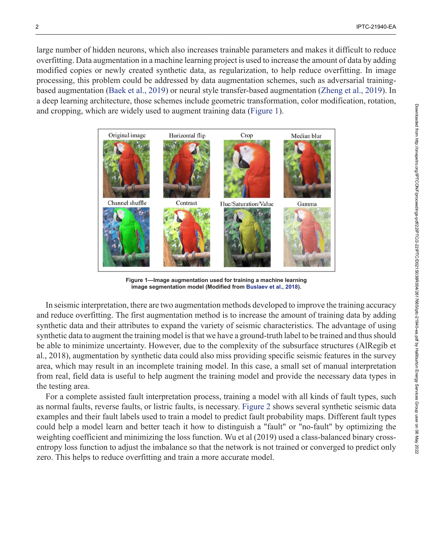large number of hidden neurons, which also increases trainable parameters and makes it difficult to reduce overfitting. Data augmentation in a machine learning project is used to increase the amount of data by adding modified copies or newly created synthetic data, as regularization, to help reduce overfitting. In image processing, this problem could be addressed by data augmentation schemes, such as adversarial trainingbased augmentation [\(Baek et al., 2019\)](#page-5-0) or neural style transfer-based augmentation [\(Zheng et al., 2019\)](#page-5-1). In a deep learning architecture, those schemes include geometric transformation, color modification, rotation, and cropping, which are widely used to augment training data [\(Figure 1](#page-1-0)).

<span id="page-1-0"></span>

**Figure 1—Image augmentation used for training a machine learning image segmentation model (Modified from [Buslaev et al., 2018](#page-5-2)).**

In seismic interpretation, there are two augmentation methods developed to improve the training accuracy and reduce overfitting. The first augmentation method is to increase the amount of training data by adding synthetic data and their attributes to expand the variety of seismic characteristics. The advantage of using synthetic data to augment the training model is that we have a ground-truth label to be trained and thus should be able to minimize uncertainty. However, due to the complexity of the subsurface structures (AlRegib et al., 2018), augmentation by synthetic data could also miss providing specific seismic features in the survey area, which may result in an incomplete training model. In this case, a small set of manual interpretation from real, field data is useful to help augment the training model and provide the necessary data types in the testing area.

For a complete assisted fault interpretation process, training a model with all kinds of fault types, such as normal faults, reverse faults, or listric faults, is necessary. [Figure 2](#page-2-0) shows several synthetic seismic data examples and their fault labels used to train a model to predict fault probability maps. Different fault types could help a model learn and better teach it how to distinguish a "fault" or "no-fault" by optimizing the weighting coefficient and minimizing the loss function. Wu et al (2019) used a class-balanced binary crossentropy loss function to adjust the imbalance so that the network is not trained or converged to predict only zero. This helps to reduce overfitting and train a more accurate model.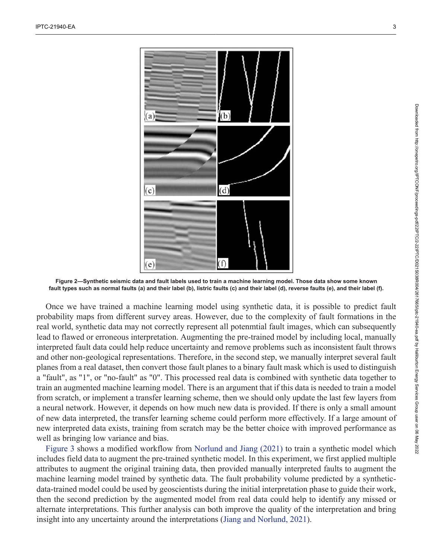<span id="page-2-0"></span>

**Figure 2—Synthetic seismic data and fault labels used to train a machine learning model. Those data show some known fault types such as normal faults (a) and their label (b), listric faults (c) and their label (d), reverse faults (e), and their label (f).**

Once we have trained a machine learning model using synthetic data, it is possible to predict fault probability maps from different survey areas. However, due to the complexity of fault formations in the real world, synthetic data may not correctly represent all potenmtial fault images, which can subsequently lead to flawed or erroneous interpretation. Augmenting the pre-trained model by including local, manually interpreted fault data could help reduce uncertainty and remove problems such as inconsistent fault throws and other non-geological representations. Therefore, in the second step, we manually interpret several fault planes from a real dataset, then convert those fault planes to a binary fault mask which is used to distinguish a "fault", as "1", or "no-fault" as "0". This processed real data is combined with synthetic data together to train an augmented machine learning model. There is an argument that if this data is needed to train a model from scratch, or implement a transfer learning scheme, then we should only update the last few layers from a neural network. However, it depends on how much new data is provided. If there is only a small amount of new data interpreted, the transfer learning scheme could perform more effectively. If a large amount of new interpreted data exists, training from scratch may be the better choice with improved performance as well as bringing low variance and bias.

[Figure 3](#page-3-0) shows a modified workflow from [Norlund and Jiang \(2021\)](#page-5-3) to train a synthetic model which includes field data to augment the pre-trained synthetic model. In this experiment, we first applied multiple attributes to augment the original training data, then provided manually interpreted faults to augment the machine learning model trained by synthetic data. The fault probability volume predicted by a syntheticdata-trained model could be used by geoscientists during the initial interpretation phase to guide their work, then the second prediction by the augmented model from real data could help to identify any missed or alternate interpretations. This further analysis can both improve the quality of the interpretation and bring insight into any uncertainty around the interpretations ([Jiang and Norlund, 2021](#page-5-4)).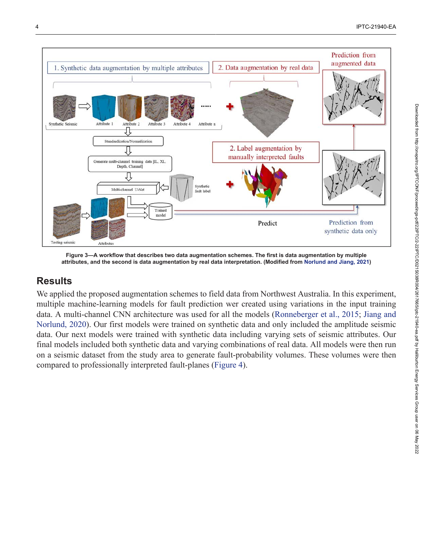<span id="page-3-0"></span>

**Figure 3—A workflow that describes two data augmentation schemes. The first is data augmentation by multiple attributes, and the second is data augmentation by real data interpretation. (Modified from [Norlund and Jiang, 2021\)](#page-5-3)**

### **Results**

We applied the proposed augmentation schemes to field data from Northwest Australia. In this experiment, multiple machine-learning models for fault prediction wer created using variations in the input training data. A multi-channel CNN architecture was used for all the models [\(Ronneberger et al., 2015;](#page-5-5) [Jiang and](#page-5-6) [Norlund, 2020](#page-5-6)). Our first models were trained on synthetic data and only included the amplitude seismic data. Our next models were trained with synthetic data including varying sets of seismic attributes. Our final models included both synthetic data and varying combinations of real data. All models were then run on a seismic dataset from the study area to generate fault-probability volumes. These volumes were then compared to professionally interpreted fault-planes ([Figure 4](#page-4-0)).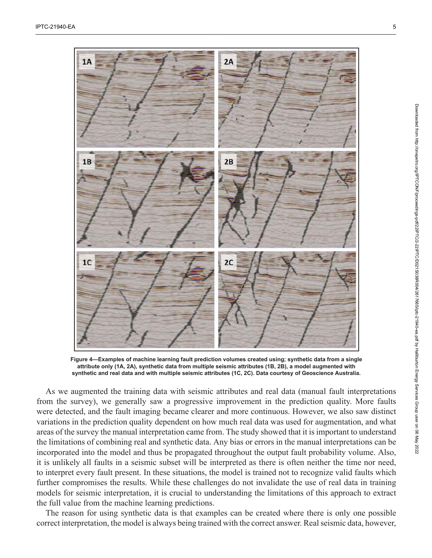<span id="page-4-0"></span>

**Figure 4—Examples of machine learning fault prediction volumes created using; synthetic data from a single attribute only (1A, 2A), synthetic data from multiple seismic attributes (1B, 2B), a model augmented with synthetic and real data and with multiple seismic attributes (1C, 2C). Data courtesy of Geoscience Australia.**

As we augmented the training data with seismic attributes and real data (manual fault interpretations from the survey), we generally saw a progressive improvement in the prediction quality. More faults were detected, and the fault imaging became clearer and more continuous. However, we also saw distinct variations in the prediction quality dependent on how much real data was used for augmentation, and what areas of the survey the manual interpretation came from. The study showed that it is important to understand the limitations of combining real and synthetic data. Any bias or errors in the manual interpretations can be incorporated into the model and thus be propagated throughout the output fault probability volume. Also, it is unlikely all faults in a seismic subset will be interpreted as there is often neither the time nor need, to interpret every fault present. In these situations, the model is trained not to recognize valid faults which further compromises the results. While these challenges do not invalidate the use of real data in training models for seismic interpretation, it is crucial to understanding the limitations of this approach to extract the full value from the machine learning predictions.

The reason for using synthetic data is that examples can be created where there is only one possible correct interpretation, the model is always being trained with the correct answer. Real seismic data, however,